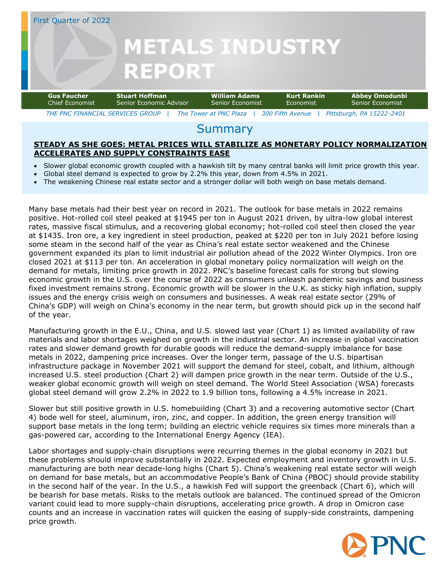### First Quarter of 2022

# **METALS INDUSTRY REPORT**

| <b>Gus Faucher</b>               | <b>Stuart Hoffman</b>   | William Adams          | Kurt Rankin      | Abbey Omodunbi            |
|----------------------------------|-------------------------|------------------------|------------------|---------------------------|
| Chief Fconomist                  | Senior Fronomic Advisor | Senior Fconomist       | <b>Economist</b> | Senior Fconomist          |
| THE PNC FINANCIAL SERVICES GROUP |                         | The Tower at PNC Plaza | 300 Fifth Avenue | Pittsburgh, PA 15222-2401 |

### **Summary**

### **STEADY AS SHE GOES: METAL PRICES WILL STABILIZE AS MONETARY POLICY NORMALIZATION ACCELERATES AND SUPPLY CONSTRAINTS EASE**

- Slower global economic growth coupled with a hawkish tilt by many central banks will limit price growth this year.
- Global steel demand is expected to grow by 2.2% this year, down from 4.5% in 2021.
- The weakening Chinese real estate sector and a stronger dollar will both weigh on base metals demand.

Many base metals had their best year on record in 2021. The outlook for base metals in 2022 remains positive. Hot-rolled coil steel peaked at \$1945 per ton in August 2021 driven, by ultra-low global interest rates, massive fiscal stimulus, and a recovering global economy; hot-rolled coil steel then closed the year at \$1435. Iron ore, a key ingredient in steel production, peaked at \$220 per ton in July 2021 before losing some steam in the second half of the year as China's real estate sector weakened and the Chinese government expanded its plan to limit industrial air pollution ahead of the 2022 Winter Olympics. Iron ore closed 2021 at \$113 per ton. An acceleration in global monetary policy normalization will weigh on the demand for metals, limiting price growth in 2022. PNC's baseline forecast calls for strong but slowing economic growth in the U.S. over the course of 2022 as consumers unleash pandemic savings and business fixed investment remains strong. Economic growth will be slower in the U.K. as sticky high inflation, supply issues and the energy crisis weigh on consumers and businesses. A weak real estate sector (29% of China's GDP) will weigh on China's economy in the near term, but growth should pick up in the second half of the year.

Manufacturing growth in the E.U., China, and U.S. slowed last year (Chart 1) as limited availability of raw materials and labor shortages weighed on growth in the industrial sector. An increase in global vaccination rates and slower demand growth for durable goods will reduce the demand-supply imbalance for base metals in 2022, dampening price increases. Over the longer term, passage of the U.S. bipartisan infrastructure package in November 2021 will support the demand for steel, cobalt, and lithium, although increased U.S. steel production (Chart 2) will dampen price growth in the near term. Outside of the U.S., weaker global economic growth will weigh on steel demand. The World Steel Association (WSA) forecasts global steel demand will grow 2.2% in 2022 to 1.9 billion tons, following a 4.5% increase in 2021.

Slower but still positive growth in U.S. homebuilding (Chart 3) and a recovering automotive sector (Chart 4) bode well for steel, aluminum, iron, zinc, and copper. In addition, the green energy transition will support base metals in the long term; building an electric vehicle requires six times more minerals than a gas-powered car, according to the International Energy Agency (IEA).

Labor shortages and supply-chain disruptions were recurring themes in the global economy in 2021 but these problems should improve substantially in 2022. Expected employment and inventory growth in U.S. manufacturing are both near decade-long highs (Chart 5). China's weakening real estate sector will weigh on demand for base metals, but an accommodative People's Bank of China (PBOC) should provide stability in the second half of the year. In the U.S., a hawkish Fed will support the greenback (Chart 6), which will be bearish for base metals. Risks to the metals outlook are balanced. The continued spread of the Omicron variant could lead to more supply-chain disruptions, accelerating price growth. A drop in Omicron case counts and an increase in vaccination rates will quicken the easing of supply-side constraints, dampening price growth.